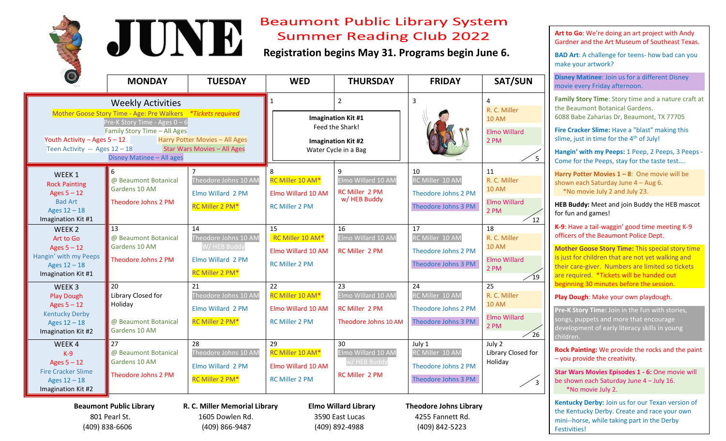



## **Beaumont Public Library System Summer Reading Club 2022**

**Registration begins May 31. Programs begin June 6.**

|                                                                                                                                                                                                                                                                                                                                       | <b>MONDAY</b>                                                                | <b>TUESDAY</b>                                                              | <b>WED</b>                                                                                                          | <b>THURSDAY</b>                                                           | <b>FRIDAY</b>                                                             | <b>SAT/SUN</b>                                                            |
|---------------------------------------------------------------------------------------------------------------------------------------------------------------------------------------------------------------------------------------------------------------------------------------------------------------------------------------|------------------------------------------------------------------------------|-----------------------------------------------------------------------------|---------------------------------------------------------------------------------------------------------------------|---------------------------------------------------------------------------|---------------------------------------------------------------------------|---------------------------------------------------------------------------|
| <b>Weekly Activities</b><br>Mother Goose Story Time - Age: Pre Walkers *Tickets required<br>Pre-K Story Time - Ages $0 - 6$<br>Family Story Time - All Ages<br>Youth Activity - Ages $5 - 12$<br>Harry Potter Movies - All Ages<br><b>Star Wars Movies - All Ages</b><br>Teen Activity -- Ages $12 - 18$<br>Disney Matinee - All ages |                                                                              |                                                                             | $\overline{2}$<br><b>Imagination Kit #1</b><br>Feed the Shark!<br><b>Imagination Kit #2</b><br>Water Cycle in a Bag |                                                                           | 3                                                                         | 4<br>R. C. Miller<br><b>10 AM</b><br><b>Elmo Willard</b><br>2 PM<br>5     |
| WEEK <sub>1</sub><br><b>Rock Painting</b><br>Ages $5 - 12$<br><b>Bad Art</b><br>Ages $12 - 18$<br>Imagination Kit #1                                                                                                                                                                                                                  | 6<br>@ Beaumont Botanical<br>Gardens 10 AM<br>Theodore Johns 2 PM<br>13      | Theodore Johns 10 AM<br>Elmo Willard 2 PM<br>RC Miller 2 PM*<br>14          | RC Miller 10 AM*<br>Elmo Willard 10 AM<br><b>RC Miller 2 PM</b><br>15                                               | 9<br>Elmo Willard 10 AM<br>RC Miller 2 PM<br>w/ HEB Buddy<br>16           | 10<br>RC Miller 10 AM<br>Theodore Johns 2 PM<br>Theodore Johns 3 PM<br>17 | 11<br>R. C. Miller<br><b>10 AM</b><br>Elmo Willard<br>2 PM<br>12<br>18    |
| WEEK <sub>2</sub><br>Art to Go<br>Ages $5 - 12$<br>Hangin' with my Peeps<br>Ages $12 - 18$<br>Imagination Kit #1                                                                                                                                                                                                                      | @ Beaumont Botanical<br>Gardens 10 AM<br>Theodore Johns 2 PM                 | Theodore Johns 10 AM<br>W/HEB Buddy<br>Elmo Willard 2 PM<br>RC Miller 2 PM* | RC Miller 10 AM*<br>Elmo Willard 10 AM<br><b>RC Miller 2 PM</b>                                                     | Elmo Willard 10 AM<br><b>RC Miller 2 PM</b>                               | RC Miller 10 AM<br>Theodore Johns 2 PM<br>Theodore Johns 3 PM             | R. C. Miller<br><b>10 AM</b><br>Elmo Willard<br>2 PM<br>$\sqrt{19}$       |
| WEEK <sub>3</sub><br><b>Play Dough</b><br>Ages $5 - 12$<br><b>Kentucky Derby</b><br>Ages $12 - 18$<br>Imagination Kit #2                                                                                                                                                                                                              | 20<br>Library Closed for<br>Holiday<br>@ Beaumont Botanical<br>Gardens 10 AM | 21<br>Theodore Johns 10 AM<br>Elmo Willard 2 PM<br>RC Miller 2 PM*          | 22<br>RC Miller 10 AM*<br>Elmo Willard 10 AM<br><b>RC Miller 2 PM</b>                                               | 23<br>Elmo Willard 10 AM<br><b>RC Miller 2 PM</b><br>Theodore Johns 10 AM | 24<br>RC Miller 10 AM<br>Theodore Johns 2 PM<br>Theodore Johns 3 PM       | 25<br>R. C. Miller<br><b>10 AM</b><br>Elmo Willard<br>2 PM<br>$\sqrt{26}$ |
| WEEK4<br>$K-9$<br>Ages $5 - 12$<br><b>Fire Cracker Slime</b><br>Ages $12 - 18$<br>Imagination Kit #2                                                                                                                                                                                                                                  | 27<br>@ Beaumont Botanical<br>Gardens 10 AM<br>Theodore Johns 2 PM           | 28<br>Theodore Johns 10 AM<br>Elmo Willard 2 PM<br>RC Miller 2 PM*          | 29<br>RC Miller 10 AM*<br>Elmo Willard 10 AM<br><b>RC Miller 2 PM</b>                                               | 30<br>Elmo Willard 10 AM<br>w/ HEB Buddy<br>RC Miller 2 PM                | July 1<br>RC Miller 10 AM<br>Theodore Johns 2 PM<br>Theodore Johns 3 PM   | July 2<br>Library Closed for<br>Holiday<br>3                              |

 **Beaumont Public Library R. C. Miller Memorial Library Elmo Willard Library Theodore Johns Library** 801 Pearl St. 1605 Dowlen Rd. 3590 East Lucas 4255 Fannett Rd.

(409) 838-6606 (409) 866-9487 (409) 892-4988 (409) 842-5223

**Art to Go**: We're doing an art project with Andy Gardner and the Art Museum of Southeast Texas.

**BAD Art**: A challenge for teens- how bad can you make your artwork?

**Disney Matinee**: Join us for a different Disney movie every Friday afternoon.

**Family Story Time**: Story time and a nature craft at the Beaumont Botanical Gardens. 6088 Babe Zaharias Dr, Beaumont, TX 77705

**Fire Cracker Slime:** Have a "blast" making this slime, just in time for the  $4<sup>th</sup>$  of July!

**Hangin' with my Peeps:** 1 Peep, 2 Peeps, 3 Peeps - Come for the Peeps, stay for the taste test....

**Harry Potter Movies 1 – 8**: One movie will be shown each Saturday June 4 – Aug 6. \*No movie July 2 and July 23.

**HEB Buddy:** Meet and join Buddy the HEB mascot for fun and games!

**K-9**: Have a tail-waggin' good time meeting K-9 officers of the Beaumont Police Dept.

**Mother Goose Story Time:** This special story time is just for children that are not yet walking and their care-giver. Numbers are limited so tickets are required. \*Tickets will be handed out beginning 30 minutes before the session.

**Play Dough**: Make your own playdough.

**Pre-K Story Time:** Join in the fun with stories, ongs, puppets and more that encourage development of early literacy skills in young children.

**Rock Painting:** We provide the rocks and the paint – you provide the creativity.

**Star Wars Movies Episodes 1 - 6:** One movie will be shown each Saturday June 4 – July 16. \*No movie July 2.

**Kentucky Derby:** Join us for our Texan version of the Kentucky Derby. Create and race your own mini--horse, while taking part in the Derby Festivities!